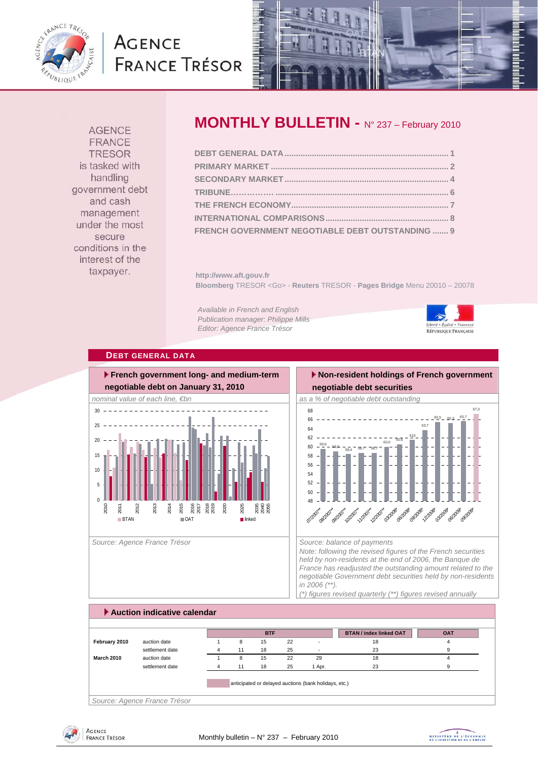

# **AGENCE FRANCE TRÉSOR**



**AGENCE FRANCE TRESOR** is tasked with handling government debt and cash management under the most secure conditions in the interest of the taxpayer.

# **MONTHLY BULLETIN - N° 237 – February 2010**

| FRENCH GOVERNMENT NEGOTIABLE DEBT OUTSTANDING  9 |  |
|--------------------------------------------------|--|

**http://www.aft.gouv.fr Bloomberg** TRESOR <Go> - **Reuters** TRESOR - **Pages Bridge** Menu 20010 – 20078

*Available in French and English Publication manager: Philippe Mills Editor: Agence France Trésor* 



#### **DEBT GENERAL DATA**



Source: Agence France Trésor **Source: balance of payments** Source: balance of payments

#### **Non-resident holdings of French government negotiable debt securities**



*Note: following the revised figures of the French securities held by non-residents at the end of 2006, the Banque de France has readjusted the outstanding amount related to the negotiable Government debt securities held by non-residents in 2006 (\*\*).* 

*(\*) figures revised quarterly (\*\*) figures revised annually* 

### **Auction indicative calendar BTAN / index linked OAT OAT February 2010** auction date 1 8 15 22 - 18 18 settlement date **4** 11 18 25 - 23 9 **March 2010** auction date 1 8 15 22 29 18 18 settlement date **4** 11 18 25 1 Apr. 23 9 9 anticipated or delayed auctions (bank holidays, etc.) **BTF**

*Source: Agence France Trésor* 

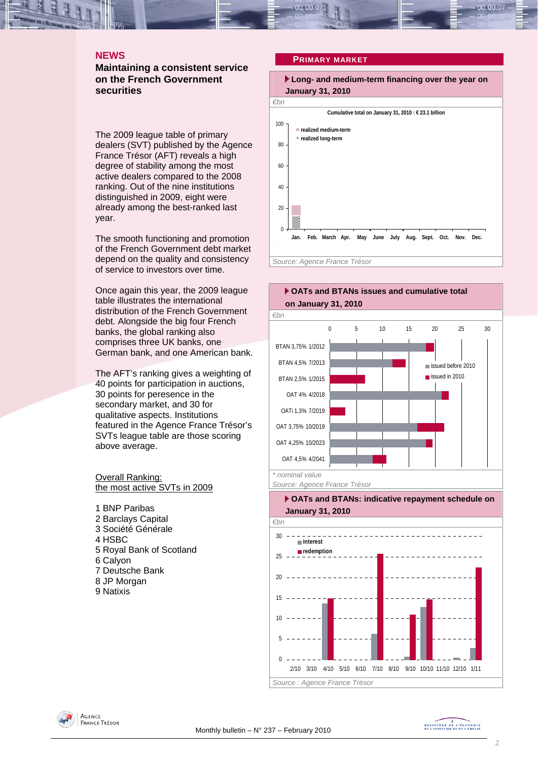### **NEWS**

**Maintaining a consistent service on the French Government securities** 

The 2009 league table of primary dealers (SVT) published by the Agence France Trésor (AFT) reveals a high degree of stability among the most active dealers compared to the 2008 ranking. Out of the nine institutions distinguished in 2009, eight were already among the best-ranked last year.

The smooth functioning and promotion of the French Government debt market depend on the quality and consistency of service to investors over time.

Once again this year, the 2009 league table illustrates the international distribution of the French Government debt. Alongside the big four French banks, the global ranking also comprises three UK banks, one German bank, and one American bank.

The AFT's ranking gives a weighting of 40 points for participation in auctions, 30 points for peresence in the secondary market, and 30 for qualitative aspects. Institutions featured in the Agence France Trésor's SVTs league table are those scoring above average.

Overall Ranking: the most active SVTs in 2009

1 BNP Paribas 2 Barclays Capital 3 Société Générale 4 HSBC 5 Royal Bank of Scotland 6 Calyon 7 Deutsche Bank 8 JP Morgan 9 Natixis

#### **PRIMARY MARKET**











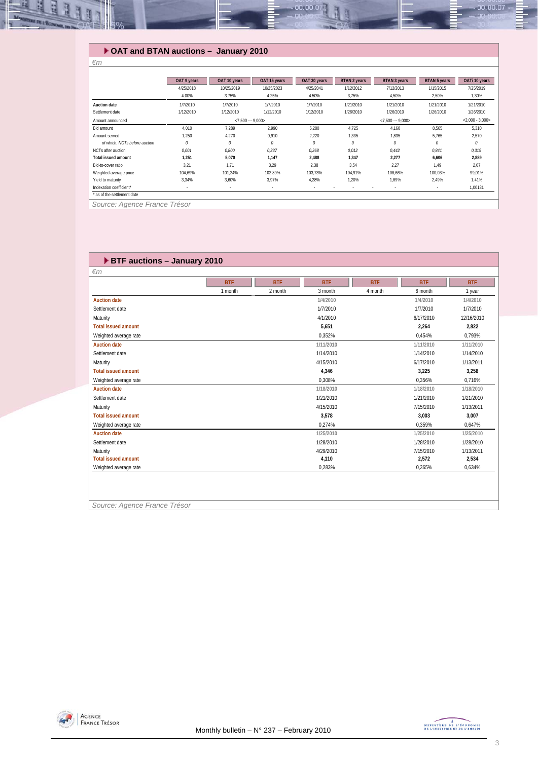

#### **OAT and BTAN auctions – January 2010**

|                               | OAT 9 years | OAT 10 years      | OAT 15 years             | OAT 30 years | BTAN 2 years | <b>BTAN 3 years</b> | <b>BTAN 5 years</b> | OATi 10 years     |
|-------------------------------|-------------|-------------------|--------------------------|--------------|--------------|---------------------|---------------------|-------------------|
|                               | 4/25/2018   | 10/25/2019        | 10/25/2023               | 4/25/2041    | 1/12/2012    | 7/12/2013           | 1/15/2015           | 7/25/2019         |
|                               | 4.00%       | 3.75%             | 4.25%                    | 4.50%        | 3,75%        | 4,50%               | 2,50%               | 1,30%             |
| <b>Auction date</b>           | 1/7/2010    | 1/7/2010          | 1/7/2010                 | 1/7/2010     | 1/21/2010    | 1/21/2010           | 1/21/2010           | 1/21/2010         |
| Settlement date               | 1/12/2010   | 1/12/2010         | 1/12/2010                | 1/12/2010    | 1/26/2010    | 1/26/2010           | 1/26/2010           | 1/26/2010         |
| Amount announced              |             | $< 7.500 - 9.000$ |                          |              |              | $<7,500 - 9,000$    |                     | $< 2,000 - 3,000$ |
| Bid amount                    | 4.010       | 7.289             | 2,990                    | 5,280        | 4,725        | 4,160               | 8,565               | 5,310             |
| Amount served                 | 1,250       | 4,270             | 0,910                    | 2,220        | 1,335        | 1,835               | 5,765               | 2,570             |
| of which: NCTs before auction | $\theta$    | 0                 | 0                        | 0            | 0            | 0                   | 0                   | 0                 |
| NCTs after auction            | 0,001       | 0,800             | 0,237                    | 0,268        | 0,012        | 0.442               | 0,841               | 0,319             |
| <b>Total issued amount</b>    | 1,251       | 5,070             | 1,147                    | 2,488        | 1,347        | 2,277               | 6,606               | 2,889             |
| Bid-to-cover ratio            | 3.21        | 1.71              | 3.29                     | 2,38         | 3,54         | 2,27                | 1.49                | 2,07              |
| Weighted average price        | 104.69%     | 101.24%           | 102.89%                  | 103.73%      | 104.91%      | 108.66%             | 100.03%             | 99.01%            |
| Yield to maturity             | 3,34%       | 3,60%             | 3.97%                    | 4,28%        | 1,20%        | 1.89%               | 2.49%               | 1,41%             |
| Indexation coefficient*       | $\sim$      | $\sim$            | $\overline{\phantom{a}}$ |              |              | $\sim$              | $\sim$              | 1,00131           |
| * as of the settlement date   |             |                   |                          |              |              |                     |                     |                   |
| $\sim$ $\sim$ $\sim$ $\sim$   | $   -$      |                   |                          |              |              |                     |                     |                   |

*Source: Agence France Trésor* 

*€m* 

#### **BTF auctions – January 2010**  *€m*  **BTF BTF BTF BTF BTF BTF** 1 month 1 year 2 month 2 month 4 month 6 month 1 year **Auction date 1/4/2010 1/4/2010 1/4/2010** Settlement date 1/7/2010 1/7/2010 1/7/2010 Maturity 4/1/2010 6/17/2010 12/16/2010 **Total issued amount 5,651 2,264 2,822** Weighted average rate  $0.352\%$  0,752% 0,793% 0,793% 0,793% **Auction date 1/11/2010 1/11/2010 1/11/2010** Settlement date 1/14/2010 1/14/2010 1/14/2010 Maturity 4/15/2010 6/17/2010 1/13/2011 **Total issued amount 4,346 3,225 3,258** Weighted average rate 0,308% 0,356% 0,716% **Auction date 1/18/2010 1/18/2010 1/18/2010** Settlement date 1/21/2010 1/21/2010 1/21/2010 Maturity 4/15/2010 7/15/2010 1/13/2011 **Total issued amount 3,578 3,003 3,007** Weighted average rate 0,274% 0,359% 0,647% 0,47% 0,47% 0,47% 0,47% 0,47% 0,47% 0,47% 0,47% 0,47% 0,47% 0,47% 0,47% 0,47% 0,47% 0,47% 0,47% 0,47% 0,47% 0,47% 0,47% 0,47% 0,47% 0,47% 0,47% 0,47% 0,47% 0,47% 0,47% 0,47% 0,47% **Auction date 1/25/2010 1/25/2010 1/25/2010** Settlement date 1/28/2010 1/28/2010 1/28/2010 Maturity 4/29/2010 7/15/2010 1/13/2011 **Total issued amount 4,110 2,572 2,534** Weighted average rate 0,283% 0,365% 0,634% *Source: Agence France Trésor*

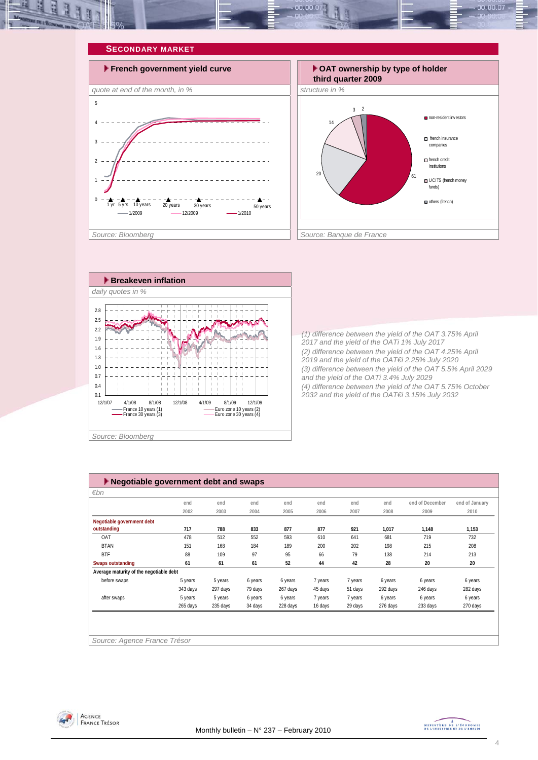







*(1) difference between the yield of the OAT 3.75% April 2017 and the yield of the OATi 1% July 2017 (2) difference between the yield of the OAT 4.25% April 2019 and the yield of the OAT€i 2.25% July 2020 (3) difference between the yield of the OAT 5.5% April 2029 and the yield of the OATi 3.4% July 2029 (4) difference between the yield of the OAT 5.75% October 2032 and the yield of the OAT€i 3.15% July 2032* 

| $\blacktriangleright$ Negotiable government debt and swaps |          |          |         |          |         |         |          |                 |                |
|------------------------------------------------------------|----------|----------|---------|----------|---------|---------|----------|-----------------|----------------|
| $\varepsilon$ bn                                           |          |          |         |          |         |         |          |                 |                |
|                                                            | end      | end      | end     | end      | end     | end     | end      | end of December | end of January |
|                                                            | 2002     | 2003     | 2004    | 2005     | 2006    | 2007    | 2008     | 2009            | 2010           |
| Negotiable government debt                                 |          |          |         |          |         |         |          |                 |                |
| outstanding                                                | 717      | 788      | 833     | 877      | 877     | 921     | 1,017    | 1,148           | 1,153          |
| OAT                                                        | 478      | 512      | 552     | 593      | 610     | 641     | 681      | 719             | 732            |
| <b>BTAN</b>                                                | 151      | 168      | 184     | 189      | 200     | 202     | 198      | 215             | 208            |
| <b>BTF</b>                                                 | 88       | 109      | 97      | 95       | 66      | 79      | 138      | 214             | 213            |
| <b>Swaps outstanding</b>                                   | 61       | 61       | 61      | 52       | 44      | 42      | 28       | 20              | 20             |
| Average maturity of the negotiable debt                    |          |          |         |          |         |         |          |                 |                |
| before swaps                                               | 5 years  | 5 years  | 6 years | 6 years  | 7 years | 7 years | 6 years  | 6 years         | 6 years        |
|                                                            | 343 days | 297 days | 79 days | 267 days | 45 days | 51 days | 292 days | 246 days        | 282 days       |
| after swaps                                                | 5 years  | 5 years  | 6 years | 6 years  | 7 years | 7 years | 6 years  | 6 years         | 6 years        |
|                                                            | 265 days | 235 days | 34 days | 228 days | 16 days | 29 days | 276 days | 233 days        | 270 days       |
|                                                            |          |          |         |          |         |         |          |                 |                |
|                                                            |          |          |         |          |         |         |          |                 |                |
|                                                            |          |          |         |          |         |         |          |                 |                |
| Source: Agence France Trésor                               |          |          |         |          |         |         |          |                 |                |



MINISTRE DE L'ÉCONOMIE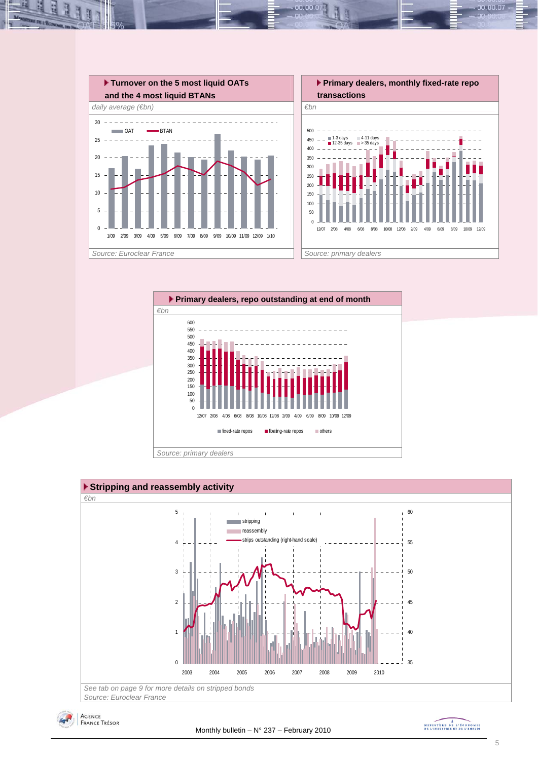

00.00.0







MINISTRE DE L'ÉCONOMIE

00.00.07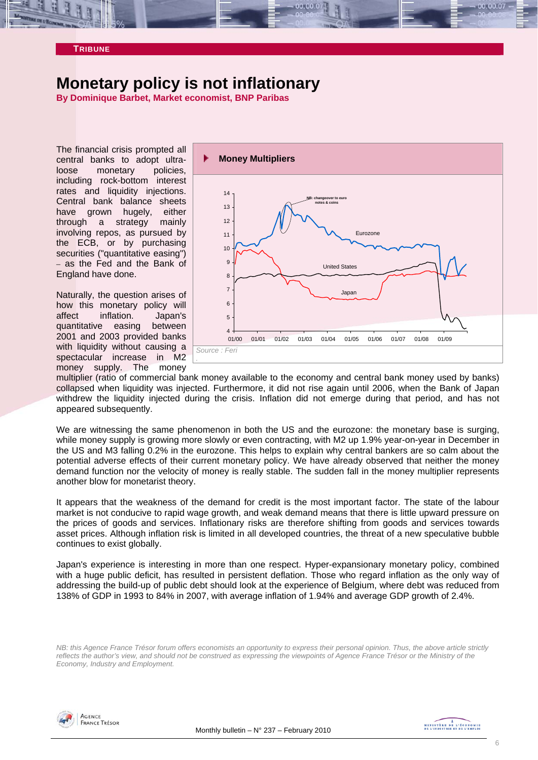

# **Monetary policy is not inflationary**

**By Dominique Barbet, Market economist, BNP Paribas** 

The financial crisis prompted all central banks to adopt ultraloose monetary policies, including rock-bottom interest rates and liquidity injections. Central bank balance sheets have grown hugely, either through a strategy mainly involving repos, as pursued by the ECB, or by purchasing securities ("quantitative easing") – as the Fed and the Bank of England have done.

Naturally, the question arises of how this monetary policy will affect inflation. Japan's quantitative easing between 2001 and 2003 provided banks with liquidity without causing a spectacular increase in M2 money supply. The money



multiplier (ratio of commercial bank money available to the economy and central bank money used by banks) collapsed when liquidity was injected. Furthermore, it did not rise again until 2006, when the Bank of Japan withdrew the liquidity injected during the crisis. Inflation did not emerge during that period, and has not appeared subsequently.

We are witnessing the same phenomenon in both the US and the eurozone: the monetary base is surging, while money supply is growing more slowly or even contracting, with M2 up 1.9% year-on-year in December in the US and M3 falling 0.2% in the eurozone. This helps to explain why central bankers are so calm about the potential adverse effects of their current monetary policy. We have already observed that neither the money demand function nor the velocity of money is really stable. The sudden fall in the money multiplier represents another blow for monetarist theory.

It appears that the weakness of the demand for credit is the most important factor. The state of the labour market is not conducive to rapid wage growth, and weak demand means that there is little upward pressure on the prices of goods and services. Inflationary risks are therefore shifting from goods and services towards asset prices. Although inflation risk is limited in all developed countries, the threat of a new speculative bubble continues to exist globally.

Japan's experience is interesting in more than one respect. Hyper-expansionary monetary policy, combined with a huge public deficit, has resulted in persistent deflation. Those who regard inflation as the only way of addressing the build-up of public debt should look at the experience of Belgium, where debt was reduced from 138% of GDP in 1993 to 84% in 2007, with average inflation of 1.94% and average GDP growth of 2.4%.

*NB: this Agence France Trésor forum offers economists an opportunity to express their personal opinion. Thus, the above article strictly reflects the author's view, and should not be construed as expressing the viewpoints of Agence France Trésor or the Ministry of the Economy, Industry and Employment.* 

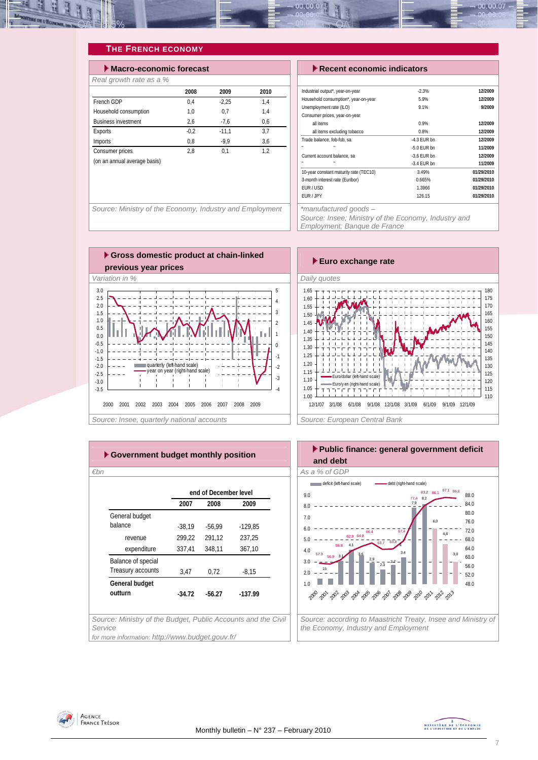

## **THE FRENCH ECONOMY**

| $\blacktriangleright$ Macro-economic forecast |        |         |      |  |  |  |  |
|-----------------------------------------------|--------|---------|------|--|--|--|--|
| Real growth rate as a %                       |        |         |      |  |  |  |  |
|                                               | 2008   | 2009    | 2010 |  |  |  |  |
| French GDP                                    | 0.4    | $-2.25$ | 1.4  |  |  |  |  |
| Household consumption                         | 1.0    | 0.7     | 1.4  |  |  |  |  |
| <b>Business investment</b>                    | 2.6    | $-7.6$  | 0.6  |  |  |  |  |
| Exports                                       | $-0.2$ | $-11.1$ | 3.7  |  |  |  |  |
| Imports                                       | 0.8    | $-9.9$  | 3,6  |  |  |  |  |
| Consumer prices                               | 2.8    | 0.1     | 1.2  |  |  |  |  |
| (on an annual average basis)                  |        |         |      |  |  |  |  |
|                                               |        |         |      |  |  |  |  |

#### **Execent economic indicators**

| Industrial output*, year-on-year       | $-2.3%$       | 12/2009    |
|----------------------------------------|---------------|------------|
| Household consumption*, year-on-year   | 5.9%          | 12/2009    |
| Unemployment rate (ILO)                | 9.1%          | 9/2009     |
| Consumer prices, year-on-year          |               |            |
| all items                              | 0.9%          | 12/2009    |
| all items excluding tobacco            | 0.8%          | 12/2009    |
| Trade balance, fob-fob, sa             | $-4.3$ FUR bn | 12/2009    |
| ×<br>n,                                | $-5.0$ FUR bn | 11/2009    |
| Current account balance, sa            | $-3.6$ FUR bn | 12/2009    |
| n,                                     | $-3.4$ FUR bn | 11/2009    |
| 10-year constant maturity rate (TEC10) | 3.49%         | 01/29/2010 |
| 3-month interest rate (Euribor)        | 0.665%        | 01/29/2010 |
| FUR / USD                              | 1.3966        | 01/29/2010 |
| EUR / JPY                              | 126.15        | 01/29/2010 |
|                                        |               |            |

Source: Ministry of the Economy, Industry and Employment <sup>\*</sup> \*manufactured goods –

*Source: Insee; Ministry of the Economy, Industry and* 

*Employment; Banque de France* 





| ► Government budget monthly position                                     |          |                       |           |  |  |  |  |
|--------------------------------------------------------------------------|----------|-----------------------|-----------|--|--|--|--|
| €bn                                                                      |          |                       |           |  |  |  |  |
|                                                                          |          | end of December level |           |  |  |  |  |
|                                                                          | 2007     | 2008                  | 2009      |  |  |  |  |
| General budget                                                           |          |                       |           |  |  |  |  |
| balance                                                                  | $-38.19$ | $-56.99$              | $-129.85$ |  |  |  |  |
| revenue                                                                  | 299,22   | 291.12                | 237.25    |  |  |  |  |
| expenditure                                                              | 337,41   | 348,11                | 367,10    |  |  |  |  |
| Balance of special                                                       |          |                       |           |  |  |  |  |
| Treasury accounts                                                        | 3,47     | 0,72                  | $-8,15$   |  |  |  |  |
| General budget                                                           |          |                       |           |  |  |  |  |
| outturn                                                                  | $-34.72$ | -56.27                | $-137.99$ |  |  |  |  |
|                                                                          |          |                       |           |  |  |  |  |
| Source: Ministry of the Budget, Public Accounts and the Civil<br>Service |          |                       |           |  |  |  |  |
| for more information: http://www.budget.gouv.fr/                         |          |                       |           |  |  |  |  |



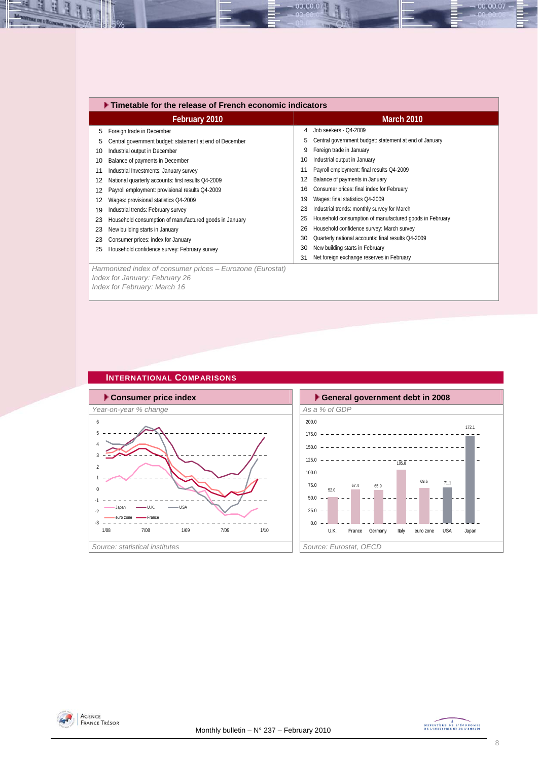|    | ▶ Timetable for the release of French economic indicators                                   |    |                                                         |  |  |  |  |  |
|----|---------------------------------------------------------------------------------------------|----|---------------------------------------------------------|--|--|--|--|--|
|    | February 2010                                                                               |    | <b>March 2010</b>                                       |  |  |  |  |  |
| 5  | Foreign trade in December                                                                   | 4  | Job seekers - Q4-2009                                   |  |  |  |  |  |
| 5  | Central government budget: statement at end of December                                     | 5  | Central government budget: statement at end of January  |  |  |  |  |  |
| 10 | Industrial output in December                                                               | 9  | Foreign trade in January                                |  |  |  |  |  |
| 10 | Balance of payments in December                                                             | 10 | Industrial output in January                            |  |  |  |  |  |
| 11 | Industrial Investments: January survey                                                      | 11 | Payroll employment: final results Q4-2009               |  |  |  |  |  |
| 12 | National quarterly accounts: first results Q4-2009                                          | 12 | Balance of payments in January                          |  |  |  |  |  |
| 12 | Payroll employment: provisional results Q4-2009                                             | 16 | Consumer prices: final index for February               |  |  |  |  |  |
| 12 | Wages: provisional statistics Q4-2009                                                       | 19 | Wages: final statistics Q4-2009                         |  |  |  |  |  |
| 19 | Industrial trends: February survey                                                          | 23 | Industrial trends: monthly survey for March             |  |  |  |  |  |
| 23 | Household consumption of manufactured goods in January                                      | 25 | Household consumption of manufactured goods in February |  |  |  |  |  |
| 23 | New building starts in January                                                              | 26 | Household confidence survey: March survey               |  |  |  |  |  |
| 23 | Consumer prices: index for January                                                          | 30 | Quarterly national accounts: final results Q4-2009      |  |  |  |  |  |
| 25 | Household confidence survey: February survey                                                | 30 | New building starts in February                         |  |  |  |  |  |
|    |                                                                                             | 31 | Net foreign exchange reserves in February               |  |  |  |  |  |
|    | Harmonized index of consumer prices - Eurozone (Eurostat)<br>Index for January: February 26 |    |                                                         |  |  |  |  |  |

00.00.07

*Index for February: March 16* 

N

B

#### **INTERNATIONAL COMPARISONS**







00.00.07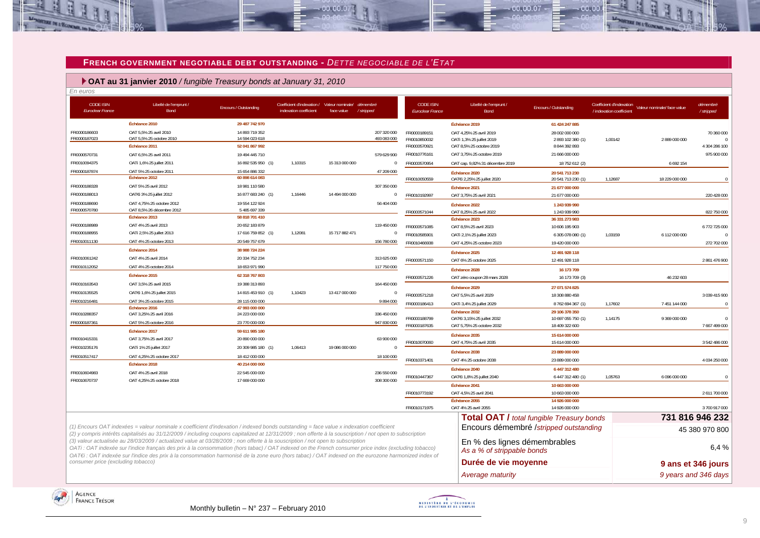#### **FRENCH GOVERNMENT NEGOTIABLE DEBT OUTSTANDING -** *DETTE NEGOCIABLE DE L'ETAT*

 $00.00.0$ 

119 450 000

156 780 000

313 625 000

117 750 000

9894000

947 830 000

236 550 000

#### **OAT au 31 janvier 2010** */ fungible Treasury bonds at January 31, 2010*

| En euros                                    |                                                    |                                  |                                                      |                                |                            |
|---------------------------------------------|----------------------------------------------------|----------------------------------|------------------------------------------------------|--------------------------------|----------------------------|
| <b>CODE ISIN</b><br><b>Euroclear France</b> | Libellé de l'emprunt /<br><b>Bond</b>              | <b>Encours / Outstanding</b>     | Coefficient d'indexation /<br>indexation coefficient | Valeur nominale/<br>face value | démembré<br>/ stripped     |
|                                             | Échéance 2010                                      | 29 487 742 970                   |                                                      |                                |                            |
| FR0000186603<br>FR0000187023                | OAT 5,5% 25 avril 2010<br>OAT 5,5% 25 octobre 2010 | 14 893 719 352<br>14 594 023 618 |                                                      |                                | 207 320 000<br>493 083 000 |
|                                             | Échéance 2011                                      | 52 041 867 992                   |                                                      |                                |                            |
| FR0000570731                                | OAT 6,5% 25 avril 2011                             | 19 494 445 710                   |                                                      |                                | 579 629 900                |
| FR0010094375                                | OATi 1,6% 25 juillet 2011                          | 16 892 535 950 (1)               | 1.10315                                              | 15 313 000 000                 | 0                          |
| FR0000187874                                | OAT 5% 25 octobre 2011                             | 15 654 886 332                   |                                                      |                                | 47 209 000                 |
|                                             | Échéance 2012                                      | 60 898 614 083                   |                                                      |                                |                            |
| FR0000188328                                | OAT 5% 25 avril 2012                               | 18 981 110 580                   |                                                      |                                | 307 350 000                |
| FR0000188013                                | OAT€i 3% 25 juillet 2012                           | 16 877 683 240 (1)               | 1,16446                                              | 14 494 000 000                 | 0                          |
| FR0000188690                                | OAT 4.75% 25 octobre 2012                          | 19 554 122 924                   |                                                      |                                | 56 404 000                 |
| FR0000570780                                | OAT 8,5% 26 décembre 2012                          | 5 485 697 339                    |                                                      |                                |                            |
|                                             | Échéance 2013                                      | 58 818 701 410                   |                                                      |                                |                            |
| FR0000188989                                | OAT 4% 25 avril 2013                               | 20 652 183 879                   |                                                      |                                | 119 450 000                |

**Échéance 2014 38 988 724 224**

**Échéance 2015 62 318 767 803**

**Échéance 2016 47 993 000 000**

**Échéance 2017 59 611 985 180**

**Échéance 2018 40 214 000 000**

FR0010011130 **OAT 4% 25 octobre 2013** 20 549 757 679

FR0010061242 OAT 4% 25 avril 2014 20 334 752 234 313 625 000

FR0010112052 0AT 4% 25 octobre 2014 18 653 971 990

FR0010216481 OAT 3% 25 octobre 2015 28 115 000 000

FR0000187361 OAT 5% 25 octobre 2016 23 770 000 000

FR0010604983 OAT 4% 25 avril 2018 22 545 000 000 236 550 000

| <b>CODE ISIN</b><br>Euroclear France | Libellé de l'emprunt /<br><b>Bond</b>        | Encours / Outstanding                            | Coefficient d'indexation<br>/ indexation coefficient | Valeur nominale/ face value | démembré<br>/stripped |
|--------------------------------------|----------------------------------------------|--------------------------------------------------|------------------------------------------------------|-----------------------------|-----------------------|
|                                      | Échéance 2019                                | 61 424 247 885                                   |                                                      |                             |                       |
| FR0000189151                         | OAT 4,25% 25 avril 2019                      | 28 002 000 000                                   |                                                      |                             | 70 360 000            |
| FR0010850032                         | OATi 1,3% 25 juillet 2019                    | 2893 102 380 (1)                                 | 1,00142                                              | 2889000000                  |                       |
| FR0000570921                         | OAT 8,5% 25 octobre 2019                     | 8 844 392 893                                    |                                                      |                             | 4 304 286 100         |
| FR0010776161                         | OAT 3,75% 25 octobre 2019                    | 21 666 000 000                                   |                                                      |                             | 975 900 000           |
| FR0000570954                         | OAT cap. 9,82% 31 décembre 2019              | 18 752 612 (2)                                   |                                                      | 6 692 154                   |                       |
|                                      | Échéance 2020                                | 20 541 713 230                                   | 1,12687                                              | 18 229 000 000              |                       |
| FR0010050559                         | OAT€i 2,25% 25 juillet 2020<br>Échéance 2021 | 20 541 713 230 (1)<br>21 677 000 000             |                                                      |                             |                       |
| FR0010192997                         | OAT 3,75% 25 avril 2021                      | 21 677 000 000                                   |                                                      |                             | 220 428 000           |
|                                      |                                              |                                                  |                                                      |                             |                       |
|                                      | Échéance 2022                                | 1 243 939 990                                    |                                                      |                             |                       |
| FR0000571044                         | OAT 8,25% 25 avril 2022<br>Échéance 2023     | 1 243 939 990<br>36 331 273 983                  |                                                      |                             | 822 750 000           |
| FR0000571085                         | OAT 8,5% 25 avril 2023                       | 10 606 195 903                                   |                                                      |                             | 6772725000            |
| FR0010585901                         | OATi 2,1% 25 juillet 2023                    | 6 305 078 080 (1)                                | 1.03159                                              | 6112000000                  |                       |
| FR0010466938                         | OAT 4,25% 25 octobre 2023                    | 19 420 000 000                                   |                                                      |                             | 272 702 000           |
|                                      | Échéance 2025                                | 12 491 928 118                                   |                                                      |                             |                       |
| FR0000571150                         | OAT 6% 25 octobre 2025                       | 12 491 928 118                                   |                                                      |                             | 2 861 476 900         |
|                                      | Échéance 2028                                | 16 173 709                                       |                                                      |                             |                       |
| FR0000571226                         | OAT zéro coupon 28 mars 2028                 | 16 173 709 (3)                                   |                                                      | 46 232 603                  |                       |
|                                      | Échéance 2029                                | 27 071 574 825                                   |                                                      |                             |                       |
| FR0000571218                         | OAT 5,5% 25 avril 2029                       | 18 308 880 458                                   |                                                      |                             | 3 039 415 900         |
| FR0000186413                         | OATi 3,4% 25 juillet 2029                    | 8762694367 (1)                                   | 1,17602                                              | 7 451 144 000               |                       |
|                                      | Échéance 2032                                | 29 106 378 350                                   |                                                      |                             |                       |
| FR0000188799                         | OAT€i 3,15% 25 juillet 2032                  | 10 697 055 750 (1)                               | 1,14175                                              | 9 369 000 000               |                       |
| FR0000187635                         | OAT 5.75% 25 octobre 2032                    | 18 409 322 600                                   |                                                      |                             | 7667499000            |
|                                      | Échéance 2035                                | 15 614 000 000                                   |                                                      |                             |                       |
| FR0010070060                         | OAT 4,75% 25 avril 2035                      | 15 614 000 000                                   |                                                      |                             | 3 542 486 000         |
|                                      | Échéance 2038                                | 23 889 000 000                                   |                                                      |                             |                       |
| FR0010371401                         | OAT 4% 25 octobre 2038                       | 23 889 000 000                                   |                                                      |                             | 4 034 250 000         |
|                                      | Échéance 2040                                | 6 447 312 480                                    |                                                      |                             |                       |
| FR0010447367                         | OATEi 1,8% 25 juillet 2040                   | 6 447 312 480 (1)                                | 1,05763                                              | 6 096 000 000               |                       |
|                                      | Échéance 2041                                | 10 663 000 000                                   |                                                      |                             |                       |
| FR0010773192                         | OAT 4,5% 25 avril 2041<br>Échéance 2055      | 10 663 000 000<br>14 926 000 000                 |                                                      |                             | 2611700000            |
| FR0010171975                         | OAT 4% 25 avril 2055                         | 14 926 000 000                                   |                                                      |                             | 3700 917 000          |
|                                      |                                              | <b>Total OAT / total fungible Treasury bonds</b> |                                                      | 731 816 946 232             |                       |
|                                      |                                              | Encours démembré /stripped outstanding           |                                                      |                             | 45 380 970 800        |
| ubscription                          | En % des lignes démembrables                 |                                                  |                                                      |                             |                       |
| luding tobacco)                      | As a % of strippable bonds                   |                                                  |                                                      |                             | 6.4%                  |
| nonized index of                     |                                              |                                                  |                                                      |                             |                       |

 $.00, 00, 07$ 

 $00.00$ 

*Average maturity 9 years and 346 days* 

*(1) Encours OAT indexées = valeur nominale x coefficient d'indexation / indexed bonds outstanding = face value x indexation coefficient (2) y compris intérêts capitalisés au 31/12/2009 / including coupons capitalized at 12/31/2009 ; non offerte à la souscription / not open to subscription* 

FR0000188955 OATi 2,5% 25 juillet 2013 17 616 759 852 (1) 1,12081 15 717 882 471 0

FR0010163543 **OAT 3.5% 25 avril 2015** 19 388 313 893 19 389 313 893 FR0010135525 OAT€i 1,6% 25 juillet 2015 14 815 453 910 (1) 1,10423 13 417 000 000 0

FR0010415331 OAT 3,75% 25 avril 2017 20 890 000 000 63 900 000 FR0010235176 OATi 1% 25 juillet 2017 20 309 985 180 (1) 1,06413 19 086 000 000 0 FR0010517417 0AT 4,25% 25 octobre 2017 18 412 000 000 18 412 000 000 18 100 000 18 100 000

FR0010670737 OAT 4,25% 25 octobre 2018 17 669 000 000 308 300 000

24 223 000 000 FR0010288357 OAT 3,25% 25 avril 2016 24 223 000 000 336 450 000

*(3) valeur actualisée au 28/03/2009 / actualized value at 03/28/2009 ; non offerte à la souscription / not open to subscription*

*OATi : OAT indexée sur l'indice français des prix à la consommation (hors tabac) / OAT indexed on the French consumer price index (excl OAT€i : OAT indexée sur l'indice des prix à la consommation harmonisé de la zone euro (hors tabac) / OAT indexed on the eurozone harmonized index of consumer price (excluding tobacco)*